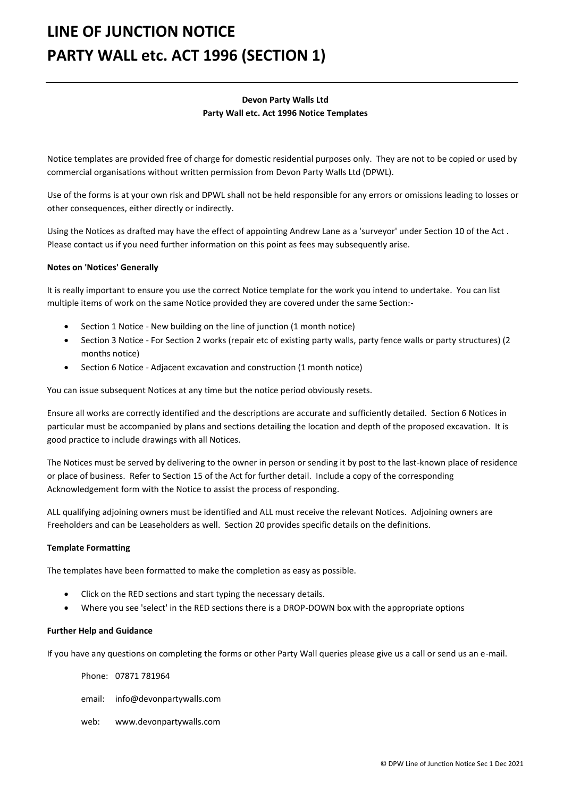# **LINE OF JUNCTION NOTICE PARTY WALL etc. ACT 1996 (SECTION 1)**

## **Devon Party Walls Ltd Party Wall etc. Act 1996 Notice Templates**

Notice templates are provided free of charge for domestic residential purposes only. They are not to be copied or used by commercial organisations without written permission from Devon Party Walls Ltd (DPWL).

Use of the forms is at your own risk and DPWL shall not be held responsible for any errors or omissions leading to losses or other consequences, either directly or indirectly.

Using the Notices as drafted may have the effect of appointing Andrew Lane as a 'surveyor' under Section 10 of the Act . Please contact us if you need further information on this point as fees may subsequently arise.

### **Notes on 'Notices' Generally**

It is really important to ensure you use the correct Notice template for the work you intend to undertake. You can list multiple items of work on the same Notice provided they are covered under the same Section:-

- Section 1 Notice New building on the line of junction (1 month notice)
- Section 3 Notice For Section 2 works (repair etc of existing party walls, party fence walls or party structures) (2 months notice)
- Section 6 Notice Adjacent excavation and construction (1 month notice)

You can issue subsequent Notices at any time but the notice period obviously resets.

Ensure all works are correctly identified and the descriptions are accurate and sufficiently detailed. Section 6 Notices in particular must be accompanied by plans and sections detailing the location and depth of the proposed excavation. It is good practice to include drawings with all Notices.

The Notices must be served by delivering to the owner in person or sending it by post to the last-known place of residence or place of business. Refer to Section 15 of the Act for further detail. Include a copy of the corresponding Acknowledgement form with the Notice to assist the process of responding.

ALL qualifying adjoining owners must be identified and ALL must receive the relevant Notices. Adjoining owners are Freeholders and can be Leaseholders as well. Section 20 provides specific details on the definitions.

#### **Template Formatting**

The templates have been formatted to make the completion as easy as possible.

- Click on the RED sections and start typing the necessary details.
- Where you see 'select' in the RED sections there is a DROP-DOWN box with the appropriate options

#### **Further Help and Guidance**

If you have any questions on completing the forms or other Party Wall queries please give us a call or send us an e-mail.

Phone: 07871 781964

- email: info@devonpartywalls.com
- web: www.devonpartywalls.com